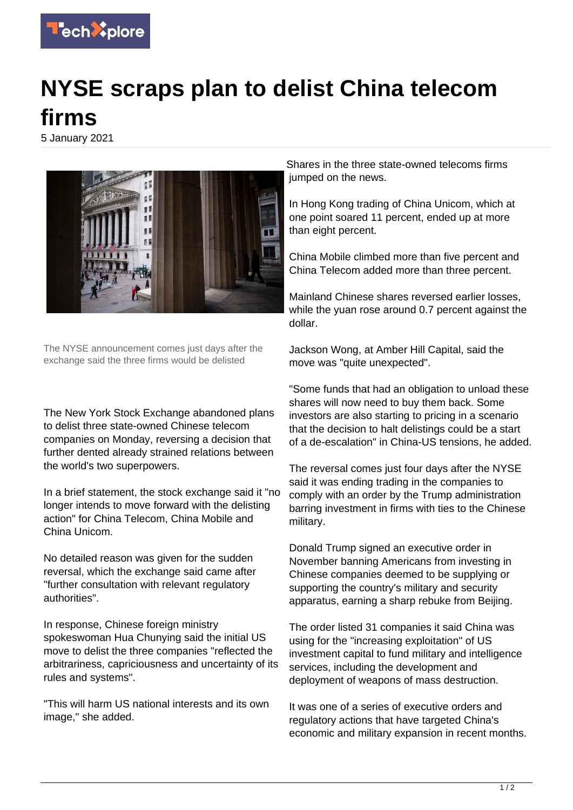

## **NYSE scraps plan to delist China telecom firms**

5 January 2021



The NYSE announcement comes just days after the exchange said the three firms would be delisted

The New York Stock Exchange abandoned plans to delist three state-owned Chinese telecom companies on Monday, reversing a decision that further dented already strained relations between the world's two superpowers.

In a brief statement, the stock exchange said it "no longer intends to move forward with the delisting action" for China Telecom, China Mobile and China Unicom.

No detailed reason was given for the sudden reversal, which the exchange said came after "further consultation with relevant regulatory authorities".

In response, Chinese foreign ministry spokeswoman Hua Chunying said the initial US move to delist the three companies "reflected the arbitrariness, capriciousness and uncertainty of its rules and systems".

"This will harm US national interests and its own image," she added.

Shares in the three state-owned telecoms firms jumped on the news.

In Hong Kong trading of China Unicom, which at one point soared 11 percent, ended up at more than eight percent.

China Mobile climbed more than five percent and China Telecom added more than three percent.

Mainland Chinese shares reversed earlier losses, while the yuan rose around 0.7 percent against the dollar.

Jackson Wong, at Amber Hill Capital, said the move was "quite unexpected".

"Some funds that had an obligation to unload these shares will now need to buy them back. Some investors are also starting to pricing in a scenario that the decision to halt delistings could be a start of a de-escalation" in China-US tensions, he added.

The reversal comes just four days after the NYSE said it was ending trading in the companies to comply with an order by the Trump administration barring investment in firms with ties to the Chinese military.

Donald Trump signed an executive order in November banning Americans from investing in Chinese companies deemed to be supplying or supporting the country's military and security apparatus, earning a sharp rebuke from Beijing.

The order listed 31 companies it said China was using for the "increasing exploitation" of US investment capital to fund military and intelligence services, including the development and deployment of weapons of mass destruction.

It was one of a series of executive orders and regulatory actions that have targeted China's economic and military expansion in recent months.